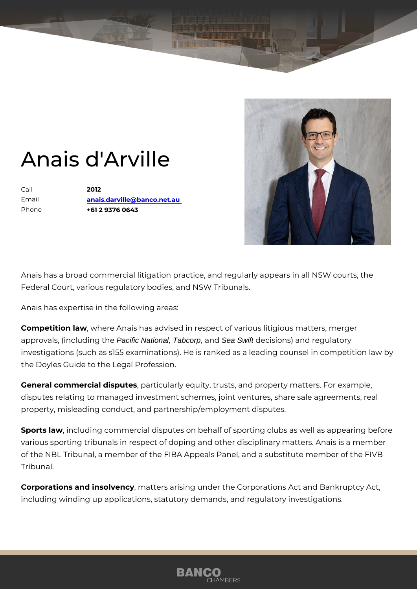## Anais d'Arville

Call 2012 Email [anais.darville@banco](mailto:anais.darville@banco.net.au).net.au Phone +61 2 9376 0643

Anais has a broad commercial litigation practice, and regularly appears in Federal Court, various regulatory bodies, and NSW Tribunals.

Anais has expertise in the following areas:

Competition , law where Anais has advised in respect of various litigious mat approvals, (includ Flacigic National, Tabcorp, and Sea Swift decisions) and regulatory investigations (such as s155 examinations). He is ranked as a leading co the Doyles Guide to the Legal Profession.

General commercial dispation is ularly equity, trusts, and property matters. I disputes relating to managed investment schemes, joint ventures, share sales property, misleading conduct, and partnership/employment disputes.

Sports lawncluding commercial disputes on behalf of sporting clubs as we various sporting tribunals in respect of doping and other disciplinary mat of the NBL Tribunal, a member of the FIBA Appeals Panel, and a substitu Tribunal.

Corporations and insolment ters arising under the Corporations Act and Ba including winding up applications, statutory demands, and regulatory inve